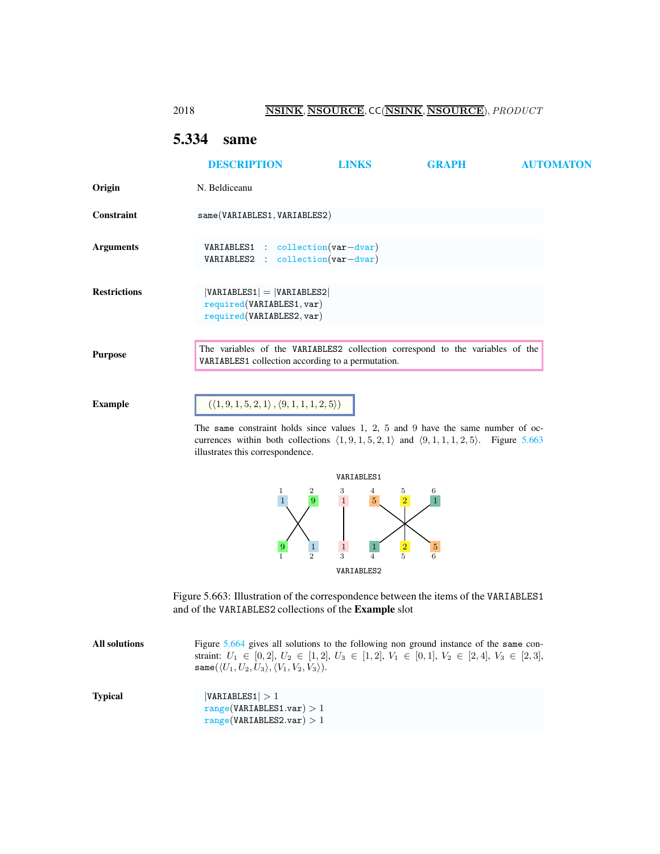### 2018 NSINK, NSOURCE, CC(NSINK, NSOURCE), PRODUCT

# <span id="page-0-2"></span><span id="page-0-0"></span>5.334 same

|                     | <b>DESCRIPTION</b>                                                                                                                 | <b>LINKS</b> | <b>GRAPH</b> | <b>AUTOMATON</b> |
|---------------------|------------------------------------------------------------------------------------------------------------------------------------|--------------|--------------|------------------|
| Origin              | N. Beldiceanu                                                                                                                      |              |              |                  |
| Constraint          | same(VARIABLES1, VARIABLES2)                                                                                                       |              |              |                  |
| <b>Arguments</b>    | VARIABLES1 : collection(var-dvar)<br>$VARIABLES2 : collection(var-dvar)$                                                           |              |              |                  |
| <b>Restrictions</b> | $ VARIABLES1  =  VARIABLES2 $<br>required(VARIABLES1, var)<br>required(VARIABLES2, var)                                            |              |              |                  |
| <b>Purpose</b>      | The variables of the VARIABLES2 collection correspond to the variables of the<br>VARIABLES1 collection according to a permutation. |              |              |                  |
| Example             | $(\langle 1, 9, 1, 5, 2, 1 \rangle, \langle 9, 1, 1, 1, 2, 5 \rangle)$                                                             |              |              |                  |
|                     | The same constraint holds since values 1, 2, 5 and 9 have the same number of oc-                                                   |              |              |                  |

The same constraint holds since values 1, 2, 5 and 9 have the same number of occurrences within both collections  $\langle 1, 9, 1, 5, 2, 1 \rangle$  and  $\langle 9, 1, 1, 1, 2, 5 \rangle$ . Figure [5.663](#page-0-1) illustrates this correspondence.



<span id="page-0-1"></span>

| All solutions  | Figure 5.664 gives all solutions to the following non ground instance of the same con-<br>straint: $U_1 \in [0,2], U_2 \in [1,2], U_3 \in [1,2], V_1 \in [0,1], V_2 \in [2,4], V_3 \in [2,3],$<br>same $(\langle U_1, U_2, U_3 \rangle, \langle V_1, V_2, V_3 \rangle).$ |
|----------------|--------------------------------------------------------------------------------------------------------------------------------------------------------------------------------------------------------------------------------------------------------------------------|
| <b>Typical</b> | VARIABLES1  > 1<br>range(VARIABLES1.var) > 1<br>range(VARIABLES2.var) > 1                                                                                                                                                                                                |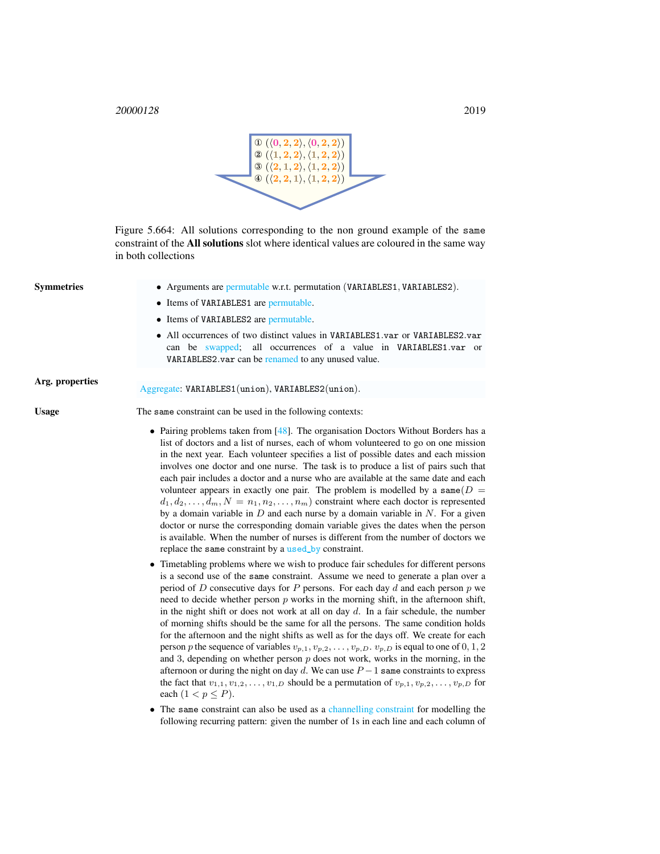<sup>20000128</sup> 2019



<span id="page-1-0"></span>Figure 5.664: All solutions corresponding to the non ground example of the same constraint of the All solutions slot where identical values are coloured in the same way in both collections

| <b>Symmetries</b> | • Arguments are permutable w.r.t. permutation (VARIABLES1, VARIABLES2).                                                                                                                                                                                                                                                                                                                                                                                                                                                                                                                                                                                                                                                                                                                                                                                                                                                                                                                                                                                                                                                                                                                                                                                                                                                                                                                                                                                                                                                                                                                                                                                                                                                                                                                                                                                                                                                                                                                                                                                  |
|-------------------|----------------------------------------------------------------------------------------------------------------------------------------------------------------------------------------------------------------------------------------------------------------------------------------------------------------------------------------------------------------------------------------------------------------------------------------------------------------------------------------------------------------------------------------------------------------------------------------------------------------------------------------------------------------------------------------------------------------------------------------------------------------------------------------------------------------------------------------------------------------------------------------------------------------------------------------------------------------------------------------------------------------------------------------------------------------------------------------------------------------------------------------------------------------------------------------------------------------------------------------------------------------------------------------------------------------------------------------------------------------------------------------------------------------------------------------------------------------------------------------------------------------------------------------------------------------------------------------------------------------------------------------------------------------------------------------------------------------------------------------------------------------------------------------------------------------------------------------------------------------------------------------------------------------------------------------------------------------------------------------------------------------------------------------------------------|
|                   | • Items of VARIABLES1 are permutable.                                                                                                                                                                                                                                                                                                                                                                                                                                                                                                                                                                                                                                                                                                                                                                                                                                                                                                                                                                                                                                                                                                                                                                                                                                                                                                                                                                                                                                                                                                                                                                                                                                                                                                                                                                                                                                                                                                                                                                                                                    |
|                   | • Items of VARIABLES2 are permutable.                                                                                                                                                                                                                                                                                                                                                                                                                                                                                                                                                                                                                                                                                                                                                                                                                                                                                                                                                                                                                                                                                                                                                                                                                                                                                                                                                                                                                                                                                                                                                                                                                                                                                                                                                                                                                                                                                                                                                                                                                    |
|                   | • All occurrences of two distinct values in VARIABLES1.var or VARIABLES2.var<br>can be swapped; all occurrences of a value in VARIABLES1.var or<br>VARIABLES2.var can be renamed to any unused value.                                                                                                                                                                                                                                                                                                                                                                                                                                                                                                                                                                                                                                                                                                                                                                                                                                                                                                                                                                                                                                                                                                                                                                                                                                                                                                                                                                                                                                                                                                                                                                                                                                                                                                                                                                                                                                                    |
| Arg. properties   | Aggregate: VARIABLES1(union), VARIABLES2(union).                                                                                                                                                                                                                                                                                                                                                                                                                                                                                                                                                                                                                                                                                                                                                                                                                                                                                                                                                                                                                                                                                                                                                                                                                                                                                                                                                                                                                                                                                                                                                                                                                                                                                                                                                                                                                                                                                                                                                                                                         |
| <b>Usage</b>      | The same constraint can be used in the following contexts:                                                                                                                                                                                                                                                                                                                                                                                                                                                                                                                                                                                                                                                                                                                                                                                                                                                                                                                                                                                                                                                                                                                                                                                                                                                                                                                                                                                                                                                                                                                                                                                                                                                                                                                                                                                                                                                                                                                                                                                               |
|                   | • Pairing problems taken from $[48]$ . The organisation Doctors Without Borders has a<br>list of doctors and a list of nurses, each of whom volunteered to go on one mission<br>in the next year. Each volunteer specifies a list of possible dates and each mission<br>involves one doctor and one nurse. The task is to produce a list of pairs such that<br>each pair includes a doctor and a nurse who are available at the same date and each<br>volunteer appears in exactly one pair. The problem is modelled by a same $(D =$<br>$d_1, d_2, \ldots, d_m, N = n_1, n_2, \ldots, n_m$ constraint where each doctor is represented<br>by a domain variable in $D$ and each nurse by a domain variable in $N$ . For a given<br>doctor or nurse the corresponding domain variable gives the dates when the person<br>is available. When the number of nurses is different from the number of doctors we<br>replace the same constraint by a used by constraint.<br>• Timetabling problems where we wish to produce fair schedules for different persons<br>is a second use of the same constraint. Assume we need to generate a plan over a<br>period of D consecutive days for P persons. For each day d and each person $p$ we<br>need to decide whether person $p$ works in the morning shift, in the afternoon shift,<br>in the night shift or does not work at all on day $d$ . In a fair schedule, the number<br>of morning shifts should be the same for all the persons. The same condition holds<br>for the afternoon and the night shifts as well as for the days off. We create for each<br>person p the sequence of variables $v_{p,1}, v_{p,2}, \ldots, v_{p,D}$ . $v_{p,D}$ is equal to one of 0, 1, 2<br>and 3, depending on whether person $p$ does not work, works in the morning, in the<br>afternoon or during the night on day d. We can use $P-1$ same constraints to express<br>the fact that $v_{1,1}, v_{1,2}, \ldots, v_{1,D}$ should be a permutation of $v_{p,1}, v_{p,2}, \ldots, v_{p,D}$ for<br>each $(1 < p \leq P)$ . |
|                   | $\bullet$ The same constraint can also be used as a channelling constraint for modelling the                                                                                                                                                                                                                                                                                                                                                                                                                                                                                                                                                                                                                                                                                                                                                                                                                                                                                                                                                                                                                                                                                                                                                                                                                                                                                                                                                                                                                                                                                                                                                                                                                                                                                                                                                                                                                                                                                                                                                             |

• The same constraint can also be used as a channelling constraint for modelling the following recurring pattern: given the number of 1s in each line and each column of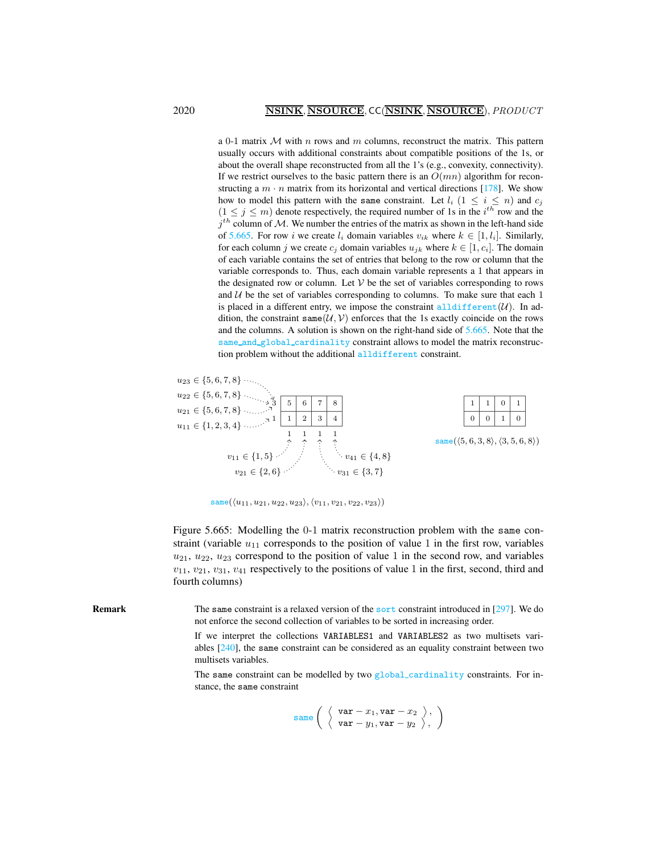a 0-1 matrix  $M$  with n rows and m columns, reconstruct the matrix. This pattern usually occurs with additional constraints about compatible positions of the 1s, or about the overall shape reconstructed from all the 1's (e.g., convexity, connectivity). If we restrict ourselves to the basic pattern there is an  $O(mn)$  algorithm for reconstructing a  $m \cdot n$  matrix from its horizontal and vertical directions [178]. We show how to model this pattern with the same constraint. Let  $l_i$   $(1 \leq i \leq n)$  and  $c_j$  $(1 \le j \le m)$  denote respectively, the required number of 1s in the  $i^{th}$  row and the  $j<sup>th</sup>$  column of M. We number the entries of the matrix as shown in the left-hand side of [5.665.](#page-2-0) For row i we create  $l_i$  domain variables  $v_{ik}$  where  $k \in [1, l_i]$ . Similarly, for each column j we create  $c_j$  domain variables  $u_{jk}$  where  $k \in [1, c_i]$ . The domain of each variable contains the set of entries that belong to the row or column that the variable corresponds to. Thus, each domain variable represents a 1 that appears in the designated row or column. Let  $V$  be the set of variables corresponding to rows and  $U$  be the set of variables corresponding to columns. To make sure that each 1 is placed in a different entry, we impose the constraint all different  $(U)$ . In addition, the constraint same  $(U, V)$  enforces that the 1s exactly coincide on the rows and the columns. A solution is shown on the right-hand side of [5.665.](#page-2-0) Note that the same\_and\_global\_cardinality constraint allows to model the matrix reconstruction problem without the additional alldifferent constraint.



<span id="page-2-0"></span> $\texttt{same}(\langle u_{11}, u_{21}, u_{22}, u_{23}\rangle, \langle v_{11}, v_{21}, v_{22}, v_{23}\rangle)$ 

Figure 5.665: Modelling the 0-1 matrix reconstruction problem with the same constraint (variable  $u_{11}$  corresponds to the position of value 1 in the first row, variables  $u_{21}$ ,  $u_{22}$ ,  $u_{23}$  correspond to the position of value 1 in the second row, and variables  $v_{11}$ ,  $v_{21}$ ,  $v_{31}$ ,  $v_{41}$  respectively to the positions of value 1 in the first, second, third and fourth columns)

Remark The same constraint is a relaxed version of the sort constraint introduced in [297]. We do not enforce the second collection of variables to be sorted in increasing order.

> If we interpret the collections VARIABLES1 and VARIABLES2 as two multisets variables [240], the same constraint can be considered as an equality constraint between two multisets variables.

> The same constraint can be modelled by two  $g$ lobal cardinality constraints. For instance, the same constraint

$$
\texttt{same}\left(\begin{array}{c}\left\langle \begin{array}{c} \texttt{var} - x_1, \texttt{var} - x_2 \\ \left\langle \begin{array}{c} \texttt{var} - y_1, \texttt{var} - y_2 \end{array} \right\rangle, \end{array}\right.\right)
$$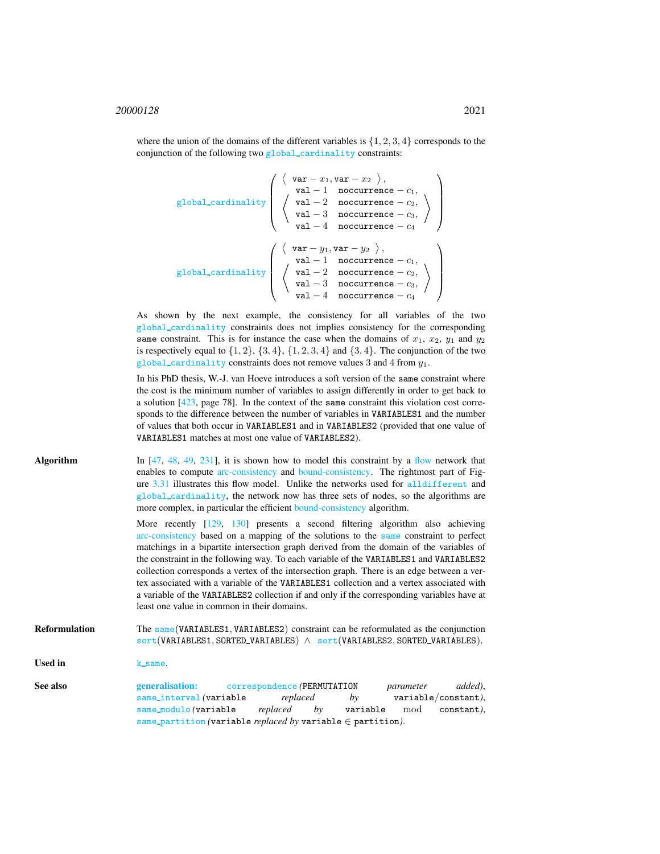$$
\left(\begin{array}{c}\n\left\langle \begin{array}{c}\n\text{var} - x_1, \text{var} - x_2\n\end{array}\right\rangle, \\
\text{global-cardinality}\n\left(\begin{array}{c}\n\text{val} - 1 & \text{nocurrence} - c_1, \\
\text{val} - 2 & \text{nocurrence} - c_2, \\
\text{val} - 3 & \text{nocurrence} - c_3, \\
\text{val} - 4 & \text{nocurrence} - c_4\n\end{array}\right)\n\right)
$$
\nglobal\_cardinality\n
$$
\left(\begin{array}{c}\n\left\langle \begin{array}{c}\n\text{var} - y_1, \text{var} - y_2\n\end{array}\right\rangle, \\
\text{val} - 1 & \text{nocurrence} - c_1, \\
\text{val} - 2 & \text{nocurrence} - c_2, \\
\text{val} - 3 & \text{nocurrence} - c_3, \\
\text{val} - 4 & \text{nocurrence} - c_4\n\end{array}\right)\n\right)
$$

As shown by the next example, the consistency for all variables of the two global cardinality constraints does not implies consistency for the corresponding same constraint. This is for instance the case when the domains of  $x_1$ ,  $x_2$ ,  $y_1$  and  $y_2$ is respectively equal to  $\{1, 2\}$ ,  $\{3, 4\}$ ,  $\{1, 2, 3, 4\}$  and  $\{3, 4\}$ . The conjunction of the two global\_cardinality constraints does not remove values 3 and 4 from  $y_1$ .

In his PhD thesis, W.-J. van Hoeve introduces a soft version of the same constraint where the cost is the minimum number of variables to assign differently in order to get back to a solution [423, page 78]. In the context of the same constraint this violation cost corresponds to the difference between the number of variables in VARIABLES1 and the number of values that both occur in VARIABLES1 and in VARIABLES2 (provided that one value of VARIABLES1 matches at most one value of VARIABLES2).

| Algorithm | In $[47, 48, 49, 231]$ , it is shown how to model this constraint by a flow network that |
|-----------|------------------------------------------------------------------------------------------|
|           | enables to compute arc-consistency and bound-consistency. The rightmost part of Fig-     |
|           | ure 3.31 illustrates this flow model. Unlike the networks used for all different and     |
|           | global_cardinality, the network now has three sets of nodes, so the algorithms are       |
|           | more complex, in particular the efficient bound-consistency algorithm.                   |
|           | More recently [129, 130] presents a second filtering algorithm also achieving            |

arc-consistency based on a mapping of the solutions to the [same](#page-0-2) constraint to perfect matchings in a bipartite intersection graph derived from the domain of the variables of the constraint in the following way. To each variable of the VARIABLES1 and VARIABLES2 collection corresponds a vertex of the intersection graph. There is an edge between a vertex associated with a variable of the VARIABLES1 collection and a vertex associated with a variable of the VARIABLES2 collection if and only if the corresponding variables have at least one value in common in their domains.

Reformulation The [same](#page-0-2) (VARIABLES1, VARIABLES2) constraint can be reformulated as the conjunction sort(VARIABLES1, SORTED VARIABLES) ∧ sort(VARIABLES2, SORTED VARIABLES).

<span id="page-3-0"></span>Used in k same.

See also generalisation: correspondence *(*PERMUTATION *parameter added)*, same interval *(*variable *replaced by* variable/constant*)*, same modulo *(*variable *replaced by* variable mod constant*)*, same partition *(*variable *replaced by* variable ∈ partition*)*.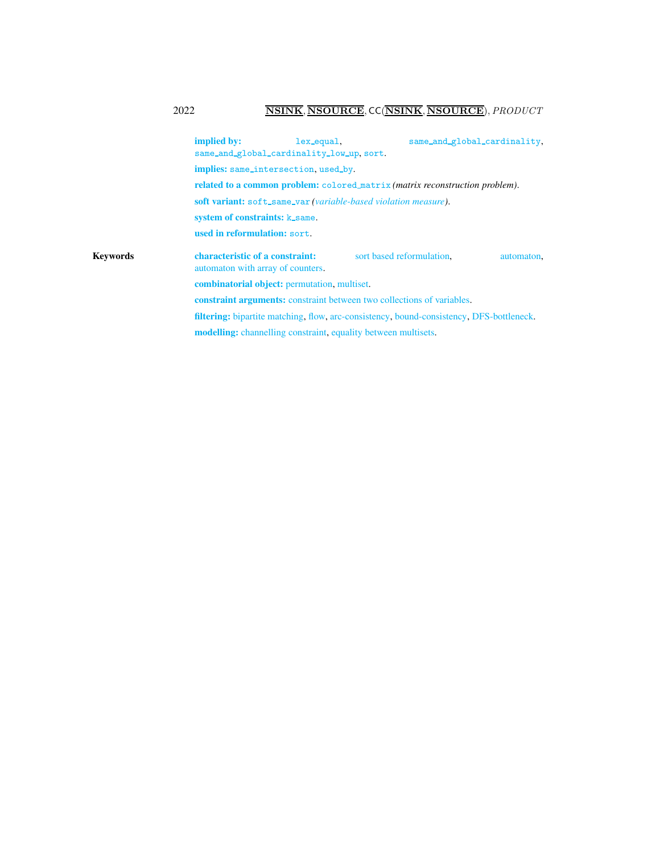# 2022 NSINK, NSOURCE, CC(NSINK, NSOURCE), PRODUCT

|          | implied by:<br>lex_equal.<br>same_and_global_cardinality_low_up, sort.                          |                           | same_and_global_cardinality, |  |
|----------|-------------------------------------------------------------------------------------------------|---------------------------|------------------------------|--|
|          | implies: same_intersection, used_by.                                                            |                           |                              |  |
|          | related to a common problem: colored_matrix (matrix reconstruction problem).                    |                           |                              |  |
|          | soft variant: soft_same_var (variable-based violation measure).                                 |                           |                              |  |
|          | system of constraints: k_same.                                                                  |                           |                              |  |
|          | used in reformulation: sort.                                                                    |                           |                              |  |
| Kevwords | characteristic of a constraint:<br>automaton with array of counters.                            | sort based reformulation. | automaton,                   |  |
|          | <b>combinatorial object:</b> permutation, multiset.                                             |                           |                              |  |
|          | <b>constraint arguments:</b> constraint between two collections of variables.                   |                           |                              |  |
|          | <b>filtering:</b> bipartite matching, flow, arc-consistency, bound-consistency, DFS-bottleneck. |                           |                              |  |
|          | <b>modelling:</b> channelling constraint, equality between multisets.                           |                           |                              |  |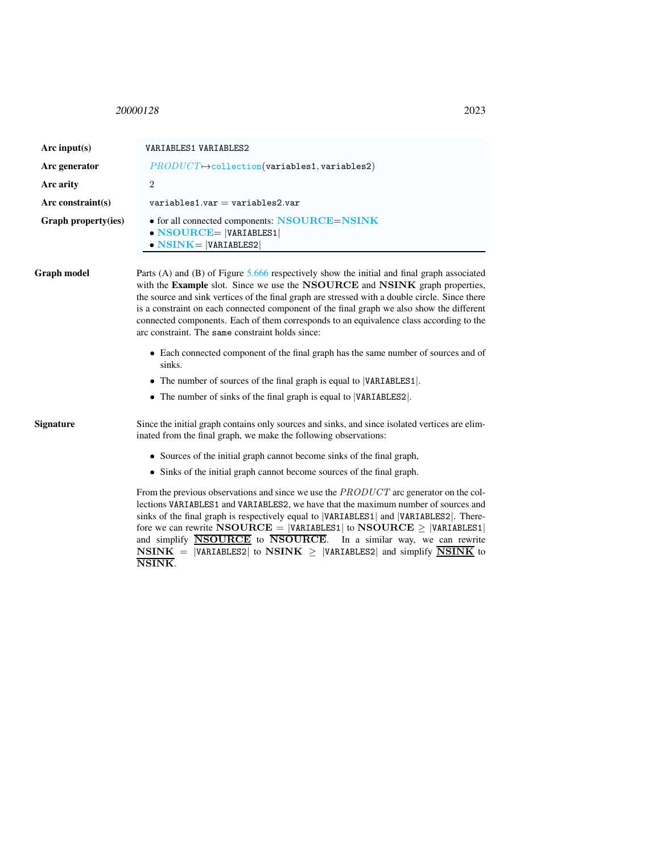<span id="page-5-0"></span><sup>20000128</sup> 2023

NSINK.

| Arc input(s)         | VARIABLES1 VARIABLES2                                                                                                                                                                                                                                                                                                                                                                                                                                                                                                     |  |
|----------------------|---------------------------------------------------------------------------------------------------------------------------------------------------------------------------------------------------------------------------------------------------------------------------------------------------------------------------------------------------------------------------------------------------------------------------------------------------------------------------------------------------------------------------|--|
| Arc generator        | $PRODUCT \rightarrow collection(variables1, variables2)$                                                                                                                                                                                                                                                                                                                                                                                                                                                                  |  |
| Arc arity            | $\overline{2}$                                                                                                                                                                                                                                                                                                                                                                                                                                                                                                            |  |
| Arc constraint $(s)$ | $variable$ s1.var = variables2.var                                                                                                                                                                                                                                                                                                                                                                                                                                                                                        |  |
| Graph property(ies)  | • for all connected components: NSOURCE=NSINK<br>$\bullet$ NSOURCE=  VARIABLES1 <br>$\bullet$ NSINK=  VARIABLES2                                                                                                                                                                                                                                                                                                                                                                                                          |  |
| <b>Graph model</b>   | Parts (A) and (B) of Figure $5.666$ respectively show the initial and final graph associated<br>with the Example slot. Since we use the NSOURCE and NSINK graph properties,<br>the source and sink vertices of the final graph are stressed with a double circle. Since there<br>is a constraint on each connected component of the final graph we also show the different<br>connected components. Each of them corresponds to an equivalence class according to the<br>arc constraint. The same constraint holds since: |  |
|                      | • Each connected component of the final graph has the same number of sources and of<br>sinks.<br>• The number of sources of the final graph is equal to  VARIABLES1 .<br>• The number of sinks of the final graph is equal to  VARIABLES2 .                                                                                                                                                                                                                                                                               |  |
| <b>Signature</b>     | Since the initial graph contains only sources and sinks, and since isolated vertices are elim-<br>inated from the final graph, we make the following observations:<br>• Sources of the initial graph cannot become sinks of the final graph,<br>• Sinks of the initial graph cannot become sources of the final graph.                                                                                                                                                                                                    |  |
|                      | From the previous observations and since we use the <i>PRODUCT</i> arc generator on the col-<br>lections VARIABLES1 and VARIABLES2, we have that the maximum number of sources and<br>sinks of the final graph is respectively equal to  VARIABLES1  and  VARIABLES2 . There-<br>fore we can rewrite NSOURCE = $ VARTABLES1 $ to NSOURCE $\geq$  VARIABLES1 <br>and simplify <b>NSOURCE</b> to <b>NSOURCE</b> .<br>In a similar way, we can rewrite                                                                       |  |

 $\textbf{NSINK} \ = \ \left| \texttt{VARIABLES2} \right| \ \text{to} \ \textbf{NSINK} \ \geq \ \left| \texttt{VARIABLES2} \right| \ \text{and} \ \text{simply} \ \overline{\textbf{NSINK}} \ \text{to}$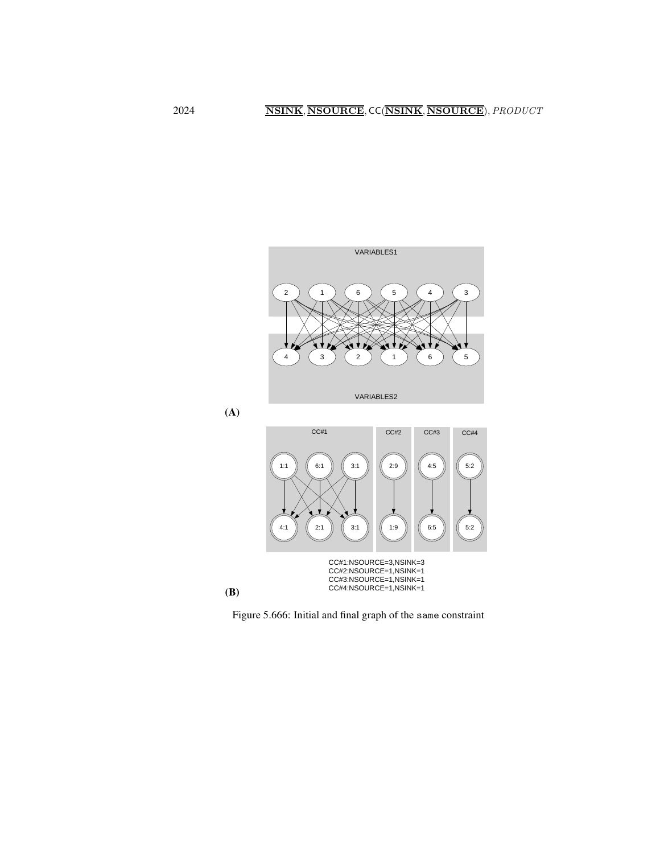



<span id="page-6-0"></span>Figure 5.666: Initial and final graph of the same constraint

(A)